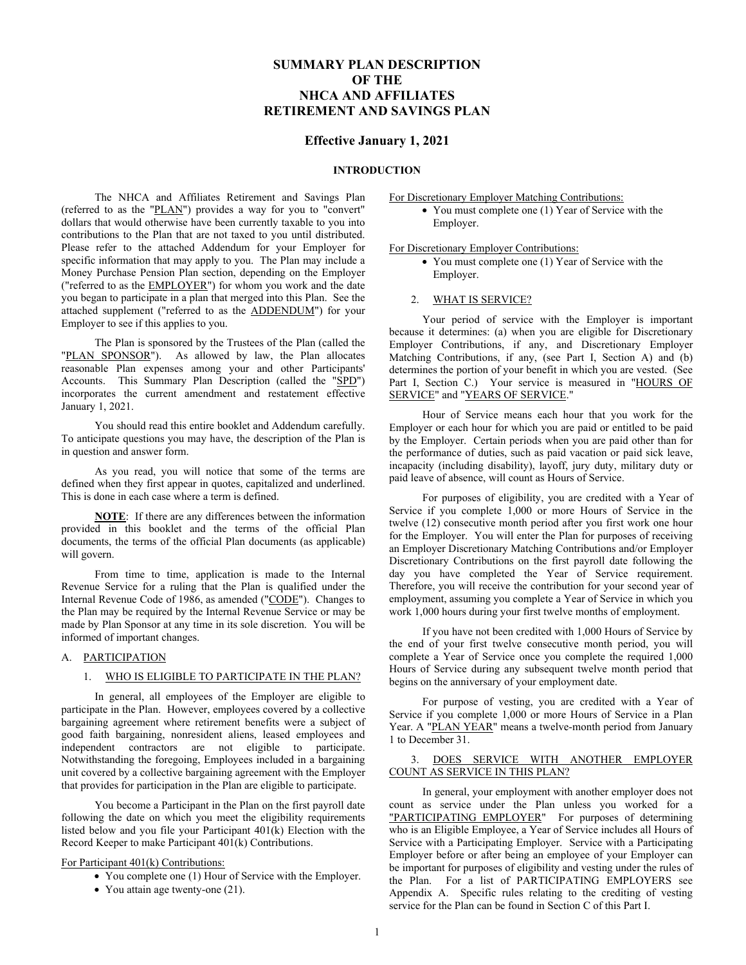# **SUMMARY PLAN DESCRIPTION OF THE NHCA AND AFFILIATES RETIREMENT AND SAVINGS PLAN**

# **Effective January 1, 2021**

## **INTRODUCTION**

The NHCA and Affiliates Retirement and Savings Plan (referred to as the "PLAN") provides a way for you to "convert" dollars that would otherwise have been currently taxable to you into contributions to the Plan that are not taxed to you until distributed. Please refer to the attached Addendum for your Employer for specific information that may apply to you. The Plan may include a Money Purchase Pension Plan section, depending on the Employer ("referred to as the EMPLOYER") for whom you work and the date you began to participate in a plan that merged into this Plan. See the attached supplement ("referred to as the ADDENDUM") for your Employer to see if this applies to you.

The Plan is sponsored by the Trustees of the Plan (called the "PLAN SPONSOR"). As allowed by law, the Plan allocates reasonable Plan expenses among your and other Participants' Accounts. This Summary Plan Description (called the "SPD") incorporates the current amendment and restatement effective January 1, 2021.

You should read this entire booklet and Addendum carefully. To anticipate questions you may have, the description of the Plan is in question and answer form.

As you read, you will notice that some of the terms are defined when they first appear in quotes, capitalized and underlined. This is done in each case where a term is defined.

**NOTE**: If there are any differences between the information provided in this booklet and the terms of the official Plan documents, the terms of the official Plan documents (as applicable) will govern.

From time to time, application is made to the Internal Revenue Service for a ruling that the Plan is qualified under the Internal Revenue Code of 1986, as amended ("CODE"). Changes to the Plan may be required by the Internal Revenue Service or may be made by Plan Sponsor at any time in its sole discretion. You will be informed of important changes.

# A. PARTICIPATION

# 1. WHO IS ELIGIBLE TO PARTICIPATE IN THE PLAN?

In general, all employees of the Employer are eligible to participate in the Plan. However, employees covered by a collective bargaining agreement where retirement benefits were a subject of good faith bargaining, nonresident aliens, leased employees and independent contractors are not eligible to participate. Notwithstanding the foregoing, Employees included in a bargaining unit covered by a collective bargaining agreement with the Employer that provides for participation in the Plan are eligible to participate.

You become a Participant in the Plan on the first payroll date following the date on which you meet the eligibility requirements listed below and you file your Participant 401(k) Election with the Record Keeper to make Participant 401(k) Contributions.

# For Participant 401(k) Contributions:

- You complete one (1) Hour of Service with the Employer.
- You attain age twenty-one (21).

# For Discretionary Employer Matching Contributions:

• You must complete one (1) Year of Service with the Employer.

# For Discretionary Employer Contributions:

• You must complete one (1) Year of Service with the Employer.

## 2. WHAT IS SERVICE?

Your period of service with the Employer is important because it determines: (a) when you are eligible for Discretionary Employer Contributions, if any, and Discretionary Employer Matching Contributions, if any, (see Part I, Section A) and (b) determines the portion of your benefit in which you are vested. (See Part I, Section C.) Your service is measured in "HOURS OF SERVICE" and "YEARS OF SERVICE."

Hour of Service means each hour that you work for the Employer or each hour for which you are paid or entitled to be paid by the Employer. Certain periods when you are paid other than for the performance of duties, such as paid vacation or paid sick leave, incapacity (including disability), layoff, jury duty, military duty or paid leave of absence, will count as Hours of Service.

For purposes of eligibility, you are credited with a Year of Service if you complete 1,000 or more Hours of Service in the twelve (12) consecutive month period after you first work one hour for the Employer. You will enter the Plan for purposes of receiving an Employer Discretionary Matching Contributions and/or Employer Discretionary Contributions on the first payroll date following the day you have completed the Year of Service requirement. Therefore, you will receive the contribution for your second year of employment, assuming you complete a Year of Service in which you work 1,000 hours during your first twelve months of employment.

If you have not been credited with 1,000 Hours of Service by the end of your first twelve consecutive month period, you will complete a Year of Service once you complete the required 1,000 Hours of Service during any subsequent twelve month period that begins on the anniversary of your employment date.

For purpose of vesting, you are credited with a Year of Service if you complete 1,000 or more Hours of Service in a Plan Year. A "PLAN YEAR" means a twelve-month period from January 1 to December 31.

# 3. DOES SERVICE WITH ANOTHER EMPLOYER COUNT AS SERVICE IN THIS PLAN?

In general, your employment with another employer does not count as service under the Plan unless you worked for a "PARTICIPATING EMPLOYER" For purposes of determining who is an Eligible Employee, a Year of Service includes all Hours of Service with a Participating Employer. Service with a Participating Employer before or after being an employee of your Employer can be important for purposes of eligibility and vesting under the rules of the Plan. For a list of PARTICIPATING EMPLOYERS see Appendix A. Specific rules relating to the crediting of vesting service for the Plan can be found in Section C of this Part I.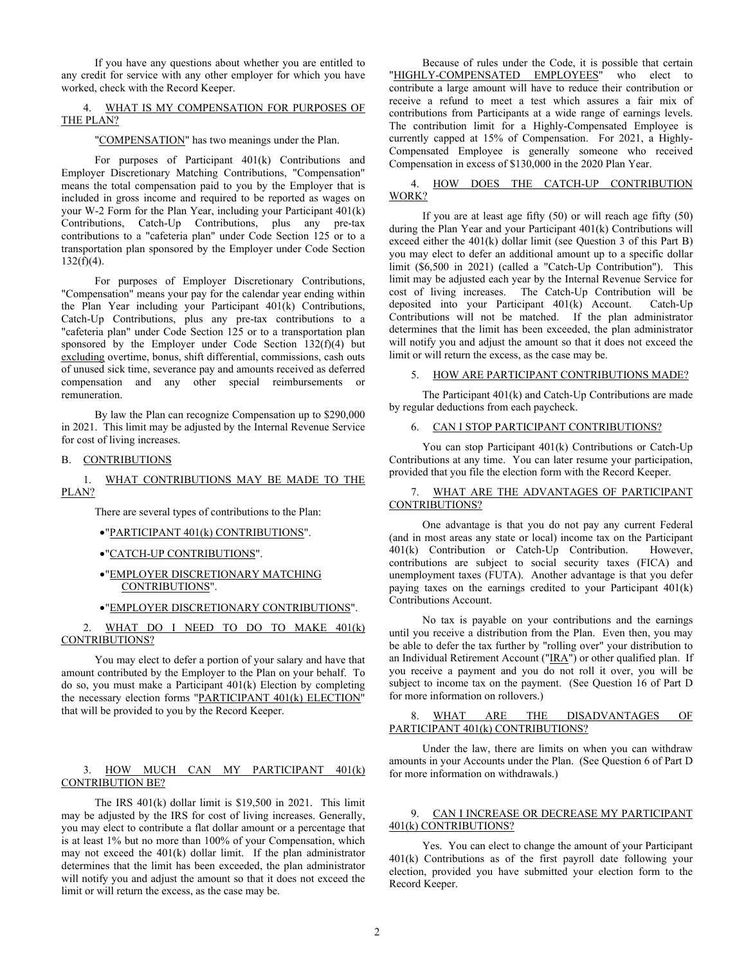If you have any questions about whether you are entitled to any credit for service with any other employer for which you have worked, check with the Record Keeper.

# 4. WHAT IS MY COMPENSATION FOR PURPOSES OF THE PLAN?

"COMPENSATION" has two meanings under the Plan.

For purposes of Participant 401(k) Contributions and Employer Discretionary Matching Contributions, "Compensation" means the total compensation paid to you by the Employer that is included in gross income and required to be reported as wages on your W-2 Form for the Plan Year, including your Participant 401(k) Contributions, Catch-Up Contributions, plus any pre-tax contributions to a "cafeteria plan" under Code Section 125 or to a transportation plan sponsored by the Employer under Code Section 132(f)(4).

For purposes of Employer Discretionary Contributions, "Compensation" means your pay for the calendar year ending within the Plan Year including your Participant 401(k) Contributions, Catch-Up Contributions, plus any pre-tax contributions to a "cafeteria plan" under Code Section 125 or to a transportation plan sponsored by the Employer under Code Section 132(f)(4) but excluding overtime, bonus, shift differential, commissions, cash outs of unused sick time, severance pay and amounts received as deferred compensation and any other special reimbursements or remuneration.

By law the Plan can recognize Compensation up to \$290,000 in 2021. This limit may be adjusted by the Internal Revenue Service for cost of living increases.

#### B. CONTRIBUTIONS

## 1. WHAT CONTRIBUTIONS MAY BE MADE TO THE PLAN?

There are several types of contributions to the Plan:

- •"PARTICIPANT 401(k) CONTRIBUTIONS".
- •"CATCH-UP CONTRIBUTIONS".
- •"EMPLOYER DISCRETIONARY MATCHING CONTRIBUTIONS".
- •"EMPLOYER DISCRETIONARY CONTRIBUTIONS".

WHAT DO I NEED TO DO TO MAKE 401(k) CONTRIBUTIONS?

You may elect to defer a portion of your salary and have that amount contributed by the Employer to the Plan on your behalf. To do so, you must make a Participant 401(k) Election by completing the necessary election forms "PARTICIPANT 401(k) ELECTION" that will be provided to you by the Record Keeper.

# 3. HOW MUCH CAN MY PARTICIPANT 401(k) CONTRIBUTION BE?

The IRS 401(k) dollar limit is \$19,500 in 2021. This limit may be adjusted by the IRS for cost of living increases. Generally, you may elect to contribute a flat dollar amount or a percentage that is at least 1% but no more than 100% of your Compensation, which may not exceed the 401(k) dollar limit. If the plan administrator determines that the limit has been exceeded, the plan administrator will notify you and adjust the amount so that it does not exceed the limit or will return the excess, as the case may be.

Because of rules under the Code, it is possible that certain "HIGHLY-COMPENSATED EMPLOYEES" who elect to contribute a large amount will have to reduce their contribution or receive a refund to meet a test which assures a fair mix of contributions from Participants at a wide range of earnings levels. The contribution limit for a Highly-Compensated Employee is currently capped at 15% of Compensation. For 2021, a Highly-Compensated Employee is generally someone who received Compensation in excess of \$130,000 in the 2020 Plan Year.

# 4. HOW DOES THE CATCH-UP CONTRIBUTION WORK?

If you are at least age fifty (50) or will reach age fifty (50) during the Plan Year and your Participant 401(k) Contributions will exceed either the 401(k) dollar limit (see Question 3 of this Part B) you may elect to defer an additional amount up to a specific dollar limit (\$6,500 in 2021) (called a "Catch-Up Contribution"). This limit may be adjusted each year by the Internal Revenue Service for cost of living increases. The Catch-Up Contribution will be deposited into your Participant 401(k) Account. Catch-Up Contributions will not be matched. If the plan administrator determines that the limit has been exceeded, the plan administrator will notify you and adjust the amount so that it does not exceed the limit or will return the excess, as the case may be.

# 5. HOW ARE PARTICIPANT CONTRIBUTIONS MADE?

The Participant 401(k) and Catch-Up Contributions are made by regular deductions from each paycheck.

#### 6. CAN I STOP PARTICIPANT CONTRIBUTIONS?

You can stop Participant 401(k) Contributions or Catch-Up Contributions at any time. You can later resume your participation, provided that you file the election form with the Record Keeper.

# 7. WHAT ARE THE ADVANTAGES OF PARTICIPANT CONTRIBUTIONS?

One advantage is that you do not pay any current Federal (and in most areas any state or local) income tax on the Participant 401(k) Contribution or Catch-Up Contribution. However, contributions are subject to social security taxes (FICA) and unemployment taxes (FUTA). Another advantage is that you defer paying taxes on the earnings credited to your Participant 401(k) Contributions Account.

No tax is payable on your contributions and the earnings until you receive a distribution from the Plan. Even then, you may be able to defer the tax further by "rolling over" your distribution to an Individual Retirement Account ("IRA") or other qualified plan. If you receive a payment and you do not roll it over, you will be subject to income tax on the payment. (See Question 16 of Part D for more information on rollovers.)

# 8. WHAT ARE THE DISADVANTAGES OF PARTICIPANT 401(k) CONTRIBUTIONS?

Under the law, there are limits on when you can withdraw amounts in your Accounts under the Plan. (See Question 6 of Part D for more information on withdrawals.)

# 9. CAN I INCREASE OR DECREASE MY PARTICIPANT 401(k) CONTRIBUTIONS?

Yes. You can elect to change the amount of your Participant 401(k) Contributions as of the first payroll date following your election, provided you have submitted your election form to the Record Keeper.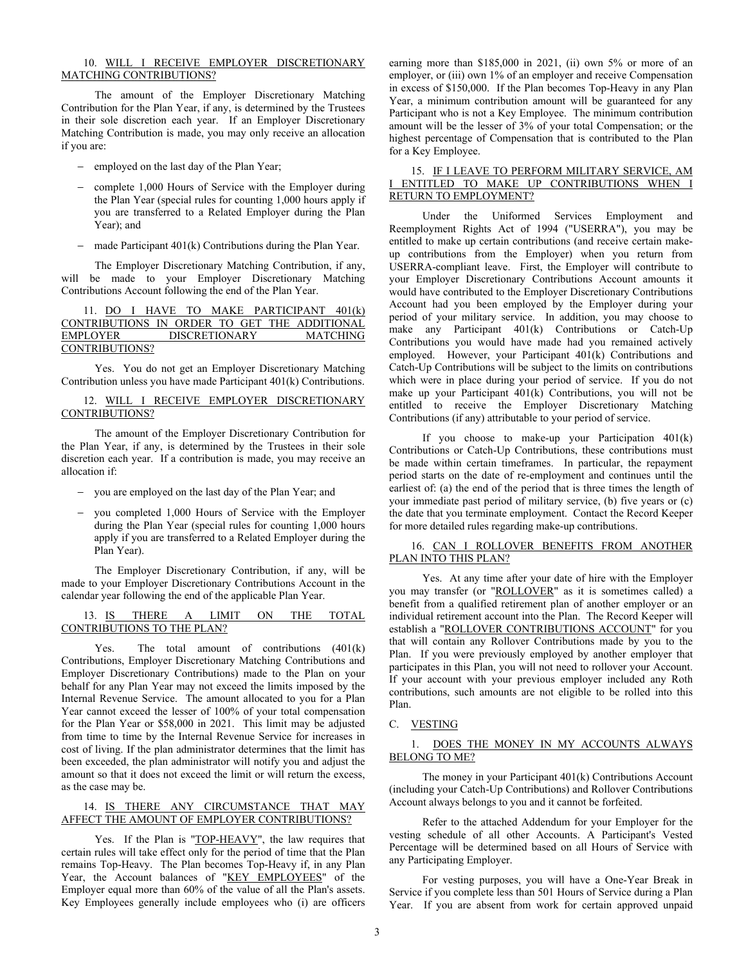## 10. WILL I RECEIVE EMPLOYER DISCRETIONARY MATCHING CONTRIBUTIONS?

The amount of the Employer Discretionary Matching Contribution for the Plan Year, if any, is determined by the Trustees in their sole discretion each year. If an Employer Discretionary Matching Contribution is made, you may only receive an allocation if you are:

- − employed on the last day of the Plan Year;
- − complete 1,000 Hours of Service with the Employer during the Plan Year (special rules for counting 1,000 hours apply if you are transferred to a Related Employer during the Plan Year); and
- − made Participant 401(k) Contributions during the Plan Year.

The Employer Discretionary Matching Contribution, if any, will be made to your Employer Discretionary Matching Contributions Account following the end of the Plan Year.

|  |                 |  |                      |  | 11. DO I HAVE TO MAKE PARTICIPANT 401(k)     |
|--|-----------------|--|----------------------|--|----------------------------------------------|
|  |                 |  |                      |  | CONTRIBUTIONS IN ORDER TO GET THE ADDITIONAL |
|  | <b>EMPLOYER</b> |  | <b>DISCRETIONARY</b> |  | MATCHING                                     |
|  | CONTRIBUTIONS?  |  |                      |  |                                              |

Yes. You do not get an Employer Discretionary Matching Contribution unless you have made Participant 401(k) Contributions.

# 12. WILL I RECEIVE EMPLOYER DISCRETIONARY CONTRIBUTIONS?

The amount of the Employer Discretionary Contribution for the Plan Year, if any, is determined by the Trustees in their sole discretion each year. If a contribution is made, you may receive an allocation if:

- − you are employed on the last day of the Plan Year; and
- you completed 1,000 Hours of Service with the Employer during the Plan Year (special rules for counting 1,000 hours apply if you are transferred to a Related Employer during the Plan Year).

The Employer Discretionary Contribution, if any, will be made to your Employer Discretionary Contributions Account in the calendar year following the end of the applicable Plan Year.

# 13. IS THERE A LIMIT ON THE TOTAL CONTRIBUTIONS TO THE PLAN?

Yes. The total amount of contributions (401(k) Contributions, Employer Discretionary Matching Contributions and Employer Discretionary Contributions) made to the Plan on your behalf for any Plan Year may not exceed the limits imposed by the Internal Revenue Service. The amount allocated to you for a Plan Year cannot exceed the lesser of 100% of your total compensation for the Plan Year or \$58,000 in 2021. This limit may be adjusted from time to time by the Internal Revenue Service for increases in cost of living. If the plan administrator determines that the limit has been exceeded, the plan administrator will notify you and adjust the amount so that it does not exceed the limit or will return the excess, as the case may be.

# 14. IS THERE ANY CIRCUMSTANCE THAT MAY AFFECT THE AMOUNT OF EMPLOYER CONTRIBUTIONS?

Yes. If the Plan is "TOP-HEAVY", the law requires that certain rules will take effect only for the period of time that the Plan remains Top-Heavy. The Plan becomes Top-Heavy if, in any Plan Year, the Account balances of "KEY EMPLOYEES" of the Employer equal more than 60% of the value of all the Plan's assets. Key Employees generally include employees who (i) are officers earning more than \$185,000 in 2021, (ii) own 5% or more of an employer, or (iii) own 1% of an employer and receive Compensation in excess of \$150,000. If the Plan becomes Top-Heavy in any Plan Year, a minimum contribution amount will be guaranteed for any Participant who is not a Key Employee. The minimum contribution amount will be the lesser of 3% of your total Compensation; or the highest percentage of Compensation that is contributed to the Plan for a Key Employee.

# 15. IF I LEAVE TO PERFORM MILITARY SERVICE, AM I ENTITLED TO MAKE UP CONTRIBUTIONS WHEN I RETURN TO EMPLOYMENT?

Under the Uniformed Services Employment and Reemployment Rights Act of 1994 ("USERRA"), you may be entitled to make up certain contributions (and receive certain makeup contributions from the Employer) when you return from USERRA-compliant leave. First, the Employer will contribute to your Employer Discretionary Contributions Account amounts it would have contributed to the Employer Discretionary Contributions Account had you been employed by the Employer during your period of your military service. In addition, you may choose to make any Participant 401(k) Contributions or Catch-Up Contributions you would have made had you remained actively employed. However, your Participant 401(k) Contributions and Catch-Up Contributions will be subject to the limits on contributions which were in place during your period of service. If you do not make up your Participant 401(k) Contributions, you will not be entitled to receive the Employer Discretionary Matching Contributions (if any) attributable to your period of service.

If you choose to make-up your Participation 401(k) Contributions or Catch-Up Contributions, these contributions must be made within certain timeframes. In particular, the repayment period starts on the date of re-employment and continues until the earliest of: (a) the end of the period that is three times the length of your immediate past period of military service, (b) five years or (c) the date that you terminate employment. Contact the Record Keeper for more detailed rules regarding make-up contributions.

## 16. CAN I ROLLOVER BENEFITS FROM ANOTHER PLAN INTO THIS PLAN?

Yes. At any time after your date of hire with the Employer you may transfer (or "ROLLOVER" as it is sometimes called) a benefit from a qualified retirement plan of another employer or an individual retirement account into the Plan. The Record Keeper will establish a "ROLLOVER CONTRIBUTIONS ACCOUNT" for you that will contain any Rollover Contributions made by you to the Plan. If you were previously employed by another employer that participates in this Plan, you will not need to rollover your Account. If your account with your previous employer included any Roth contributions, such amounts are not eligible to be rolled into this Plan.

# C. VESTING

# 1. DOES THE MONEY IN MY ACCOUNTS ALWAYS BELONG TO ME?

The money in your Participant 401(k) Contributions Account (including your Catch-Up Contributions) and Rollover Contributions Account always belongs to you and it cannot be forfeited.

Refer to the attached Addendum for your Employer for the vesting schedule of all other Accounts. A Participant's Vested Percentage will be determined based on all Hours of Service with any Participating Employer.

For vesting purposes, you will have a One-Year Break in Service if you complete less than 501 Hours of Service during a Plan Year. If you are absent from work for certain approved unpaid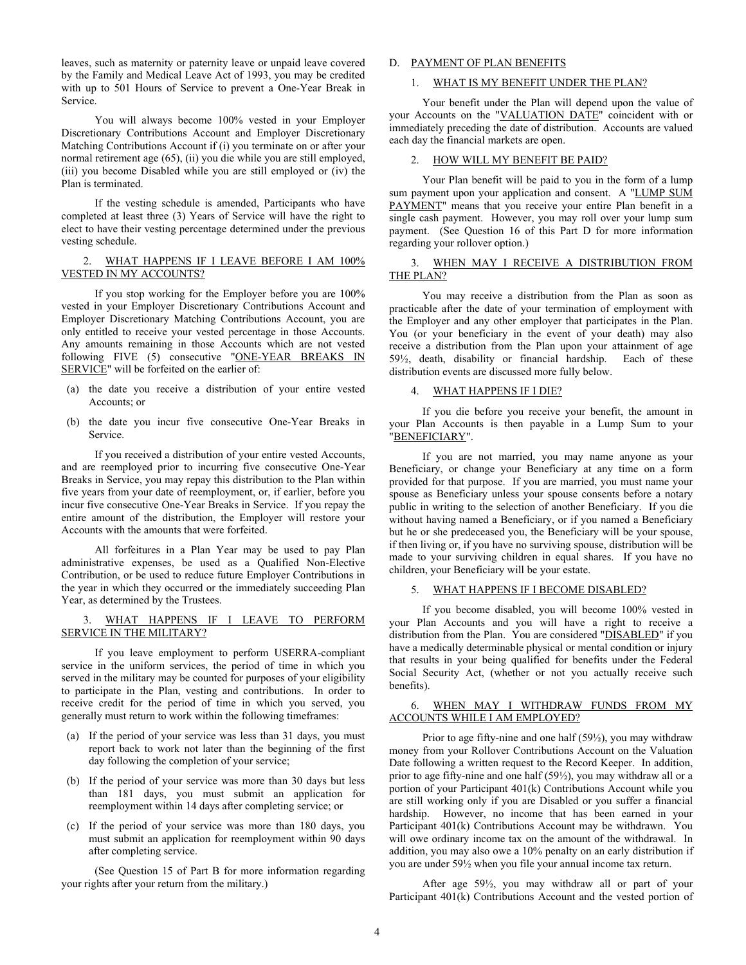leaves, such as maternity or paternity leave or unpaid leave covered by the Family and Medical Leave Act of 1993, you may be credited with up to 501 Hours of Service to prevent a One-Year Break in Service.

You will always become 100% vested in your Employer Discretionary Contributions Account and Employer Discretionary Matching Contributions Account if (i) you terminate on or after your normal retirement age (65), (ii) you die while you are still employed, (iii) you become Disabled while you are still employed or (iv) the Plan is terminated.

If the vesting schedule is amended, Participants who have completed at least three (3) Years of Service will have the right to elect to have their vesting percentage determined under the previous vesting schedule.

# 2. WHAT HAPPENS IF I LEAVE BEFORE I AM 100% VESTED IN MY ACCOUNTS?

If you stop working for the Employer before you are 100% vested in your Employer Discretionary Contributions Account and Employer Discretionary Matching Contributions Account, you are only entitled to receive your vested percentage in those Accounts. Any amounts remaining in those Accounts which are not vested following FIVE (5) consecutive "ONE-YEAR BREAKS IN SERVICE" will be forfeited on the earlier of:

- (a) the date you receive a distribution of your entire vested Accounts; or
- (b) the date you incur five consecutive One-Year Breaks in Service.

If you received a distribution of your entire vested Accounts, and are reemployed prior to incurring five consecutive One-Year Breaks in Service, you may repay this distribution to the Plan within five years from your date of reemployment, or, if earlier, before you incur five consecutive One-Year Breaks in Service. If you repay the entire amount of the distribution, the Employer will restore your Accounts with the amounts that were forfeited.

All forfeitures in a Plan Year may be used to pay Plan administrative expenses, be used as a Qualified Non-Elective Contribution, or be used to reduce future Employer Contributions in the year in which they occurred or the immediately succeeding Plan Year, as determined by the Trustees.

# 3. WHAT HAPPENS IF I LEAVE TO PERFORM SERVICE IN THE MILITARY?

If you leave employment to perform USERRA-compliant service in the uniform services, the period of time in which you served in the military may be counted for purposes of your eligibility to participate in the Plan, vesting and contributions. In order to receive credit for the period of time in which you served, you generally must return to work within the following timeframes:

- (a) If the period of your service was less than 31 days, you must report back to work not later than the beginning of the first day following the completion of your service;
- (b) If the period of your service was more than 30 days but less than 181 days, you must submit an application for reemployment within 14 days after completing service; or
- (c) If the period of your service was more than 180 days, you must submit an application for reemployment within 90 days after completing service.

(See Question 15 of Part B for more information regarding your rights after your return from the military.)

# D. PAYMENT OF PLAN BENEFITS

# 1. WHAT IS MY BENEFIT UNDER THE PLAN?

Your benefit under the Plan will depend upon the value of your Accounts on the "VALUATION DATE" coincident with or immediately preceding the date of distribution. Accounts are valued each day the financial markets are open.

# 2. HOW WILL MY BENEFIT BE PAID?

Your Plan benefit will be paid to you in the form of a lump sum payment upon your application and consent. A "LUMP SUM PAYMENT" means that you receive your entire Plan benefit in a single cash payment. However, you may roll over your lump sum payment. (See Question 16 of this Part D for more information regarding your rollover option.)

## 3. WHEN MAY I RECEIVE A DISTRIBUTION FROM THE PLAN?

You may receive a distribution from the Plan as soon as practicable after the date of your termination of employment with the Employer and any other employer that participates in the Plan. You (or your beneficiary in the event of your death) may also receive a distribution from the Plan upon your attainment of age 59½, death, disability or financial hardship. Each of these distribution events are discussed more fully below.

# 4. WHAT HAPPENS IF I DIE?

If you die before you receive your benefit, the amount in your Plan Accounts is then payable in a Lump Sum to your "BENEFICIARY".

If you are not married, you may name anyone as your Beneficiary, or change your Beneficiary at any time on a form provided for that purpose. If you are married, you must name your spouse as Beneficiary unless your spouse consents before a notary public in writing to the selection of another Beneficiary. If you die without having named a Beneficiary, or if you named a Beneficiary but he or she predeceased you, the Beneficiary will be your spouse, if then living or, if you have no surviving spouse, distribution will be made to your surviving children in equal shares. If you have no children, your Beneficiary will be your estate.

# 5. WHAT HAPPENS IF I BECOME DISABLED?

If you become disabled, you will become 100% vested in your Plan Accounts and you will have a right to receive a distribution from the Plan. You are considered "DISABLED" if you have a medically determinable physical or mental condition or injury that results in your being qualified for benefits under the Federal Social Security Act, (whether or not you actually receive such benefits).

# 6. WHEN MAY I WITHDRAW FUNDS FROM MY ACCOUNTS WHILE I AM EMPLOYED?

Prior to age fifty-nine and one half (59½), you may withdraw money from your Rollover Contributions Account on the Valuation Date following a written request to the Record Keeper. In addition, prior to age fifty-nine and one half (59½), you may withdraw all or a portion of your Participant 401(k) Contributions Account while you are still working only if you are Disabled or you suffer a financial hardship. However, no income that has been earned in your Participant 401(k) Contributions Account may be withdrawn. You will owe ordinary income tax on the amount of the withdrawal. In addition, you may also owe a 10% penalty on an early distribution if you are under 59½ when you file your annual income tax return.

After age 59½, you may withdraw all or part of your Participant 401(k) Contributions Account and the vested portion of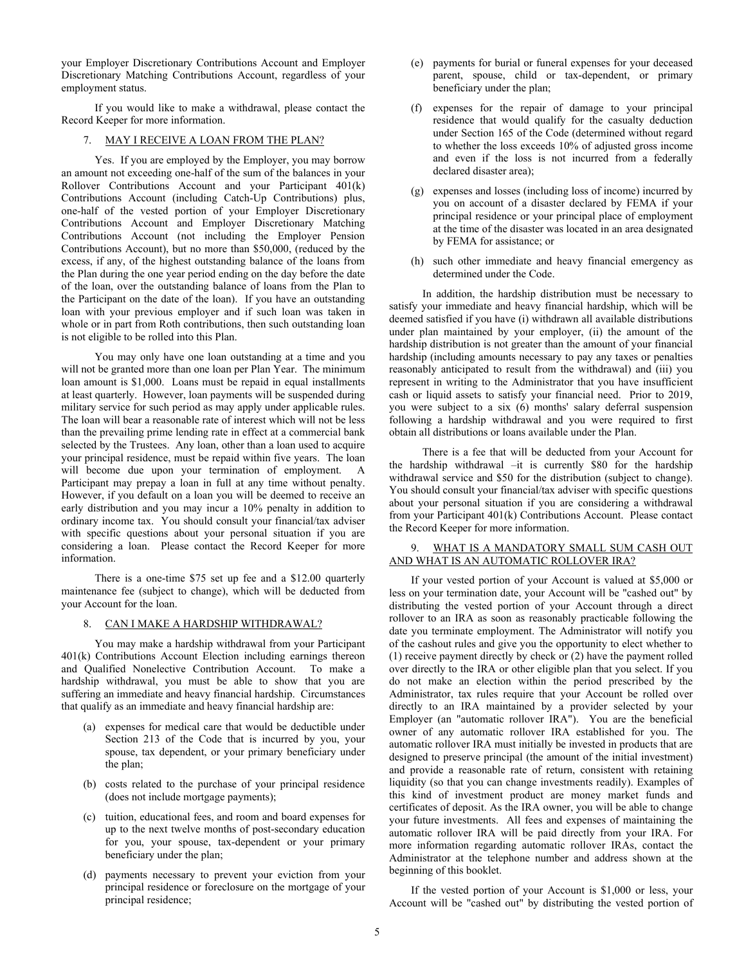your Employer Discretionary Contributions Account and Employer Discretionary Matching Contributions Account, regardless of your employment status.

If you would like to make a withdrawal, please contact the Record Keeper for more information.

# 7. MAY I RECEIVE A LOAN FROM THE PLAN?

Yes. If you are employed by the Employer, you may borrow an amount not exceeding one-half of the sum of the balances in your Rollover Contributions Account and your Participant 401(k) Contributions Account (including Catch-Up Contributions) plus, one-half of the vested portion of your Employer Discretionary Contributions Account and Employer Discretionary Matching Contributions Account (not including the Employer Pension Contributions Account), but no more than \$50,000, (reduced by the excess, if any, of the highest outstanding balance of the loans from the Plan during the one year period ending on the day before the date of the loan, over the outstanding balance of loans from the Plan to the Participant on the date of the loan). If you have an outstanding loan with your previous employer and if such loan was taken in whole or in part from Roth contributions, then such outstanding loan is not eligible to be rolled into this Plan.

You may only have one loan outstanding at a time and you will not be granted more than one loan per Plan Year. The minimum loan amount is \$1,000. Loans must be repaid in equal installments at least quarterly. However, loan payments will be suspended during military service for such period as may apply under applicable rules. The loan will bear a reasonable rate of interest which will not be less than the prevailing prime lending rate in effect at a commercial bank selected by the Trustees. Any loan, other than a loan used to acquire your principal residence, must be repaid within five years. The loan will become due upon your termination of employment. A Participant may prepay a loan in full at any time without penalty. However, if you default on a loan you will be deemed to receive an early distribution and you may incur a 10% penalty in addition to ordinary income tax. You should consult your financial/tax adviser with specific questions about your personal situation if you are considering a loan. Please contact the Record Keeper for more information.

There is a one-time \$75 set up fee and a \$12.00 quarterly maintenance fee (subject to change), which will be deducted from your Account for the loan.

#### 8. CAN I MAKE A HARDSHIP WITHDRAWAL?

You may make a hardship withdrawal from your Participant 401(k) Contributions Account Election including earnings thereon and Qualified Nonelective Contribution Account. To make a hardship withdrawal, you must be able to show that you are suffering an immediate and heavy financial hardship. Circumstances that qualify as an immediate and heavy financial hardship are:

- (a) expenses for medical care that would be deductible under Section 213 of the Code that is incurred by you, your spouse, tax dependent, or your primary beneficiary under the plan;
- (b) costs related to the purchase of your principal residence (does not include mortgage payments);
- (c) tuition, educational fees, and room and board expenses for up to the next twelve months of post-secondary education for you, your spouse, tax-dependent or your primary beneficiary under the plan;
- (d) payments necessary to prevent your eviction from your principal residence or foreclosure on the mortgage of your principal residence;
- (e) payments for burial or funeral expenses for your deceased parent, spouse, child or tax-dependent, or primary beneficiary under the plan;
- (f) expenses for the repair of damage to your principal residence that would qualify for the casualty deduction under Section 165 of the Code (determined without regard to whether the loss exceeds 10% of adjusted gross income and even if the loss is not incurred from a federally declared disaster area);
- (g) expenses and losses (including loss of income) incurred by you on account of a disaster declared by FEMA if your principal residence or your principal place of employment at the time of the disaster was located in an area designated by FEMA for assistance; or
- (h) such other immediate and heavy financial emergency as determined under the Code.

In addition, the hardship distribution must be necessary to satisfy your immediate and heavy financial hardship, which will be deemed satisfied if you have (i) withdrawn all available distributions under plan maintained by your employer, (ii) the amount of the hardship distribution is not greater than the amount of your financial hardship (including amounts necessary to pay any taxes or penalties reasonably anticipated to result from the withdrawal) and (iii) you represent in writing to the Administrator that you have insufficient cash or liquid assets to satisfy your financial need. Prior to 2019, you were subject to a six (6) months' salary deferral suspension following a hardship withdrawal and you were required to first obtain all distributions or loans available under the Plan.

There is a fee that will be deducted from your Account for the hardship withdrawal –it is currently \$80 for the hardship withdrawal service and \$50 for the distribution (subject to change). You should consult your financial/tax adviser with specific questions about your personal situation if you are considering a withdrawal from your Participant 401(k) Contributions Account. Please contact the Record Keeper for more information.

# 9. WHAT IS A MANDATORY SMALL SUM CASH OUT AND WHAT IS AN AUTOMATIC ROLLOVER IRA?

If your vested portion of your Account is valued at \$5,000 or less on your termination date, your Account will be "cashed out" by distributing the vested portion of your Account through a direct rollover to an IRA as soon as reasonably practicable following the date you terminate employment. The Administrator will notify you of the cashout rules and give you the opportunity to elect whether to (1) receive payment directly by check or (2) have the payment rolled over directly to the IRA or other eligible plan that you select. If you do not make an election within the period prescribed by the Administrator, tax rules require that your Account be rolled over directly to an IRA maintained by a provider selected by your Employer (an "automatic rollover IRA"). You are the beneficial owner of any automatic rollover IRA established for you. The automatic rollover IRA must initially be invested in products that are designed to preserve principal (the amount of the initial investment) and provide a reasonable rate of return, consistent with retaining liquidity (so that you can change investments readily). Examples of this kind of investment product are money market funds and certificates of deposit. As the IRA owner, you will be able to change your future investments. All fees and expenses of maintaining the automatic rollover IRA will be paid directly from your IRA. For more information regarding automatic rollover IRAs, contact the Administrator at the telephone number and address shown at the beginning of this booklet.

If the vested portion of your Account is \$1,000 or less, your Account will be "cashed out" by distributing the vested portion of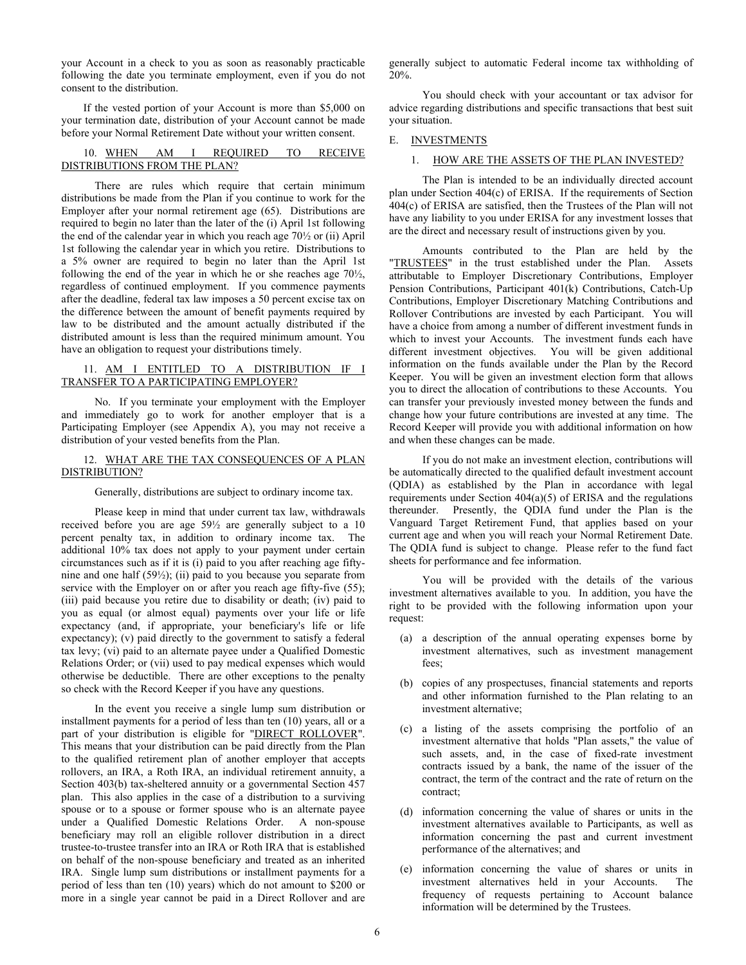your Account in a check to you as soon as reasonably practicable following the date you terminate employment, even if you do not consent to the distribution.

If the vested portion of your Account is more than \$5,000 on your termination date, distribution of your Account cannot be made before your Normal Retirement Date without your written consent.

# 10. WHEN AM I REQUIRED TO RECEIVE DISTRIBUTIONS FROM THE PLAN?

There are rules which require that certain minimum distributions be made from the Plan if you continue to work for the Employer after your normal retirement age (65). Distributions are required to begin no later than the later of the (i) April 1st following the end of the calendar year in which you reach age 70½ or (ii) April 1st following the calendar year in which you retire. Distributions to a 5% owner are required to begin no later than the April 1st following the end of the year in which he or she reaches age 70½, regardless of continued employment. If you commence payments after the deadline, federal tax law imposes a 50 percent excise tax on the difference between the amount of benefit payments required by law to be distributed and the amount actually distributed if the distributed amount is less than the required minimum amount. You have an obligation to request your distributions timely.

# 11. AM I ENTITLED TO A DISTRIBUTION IF I TRANSFER TO A PARTICIPATING EMPLOYER?

No. If you terminate your employment with the Employer and immediately go to work for another employer that is a Participating Employer (see Appendix A), you may not receive a distribution of your vested benefits from the Plan.

## 12. WHAT ARE THE TAX CONSEQUENCES OF A PLAN DISTRIBUTION?

Generally, distributions are subject to ordinary income tax.

Please keep in mind that under current tax law, withdrawals received before you are age 59½ are generally subject to a 10 percent penalty tax, in addition to ordinary income tax. The additional 10% tax does not apply to your payment under certain circumstances such as if it is (i) paid to you after reaching age fiftynine and one half (59½); (ii) paid to you because you separate from service with the Employer on or after you reach age fifty-five (55); (iii) paid because you retire due to disability or death; (iv) paid to you as equal (or almost equal) payments over your life or life expectancy (and, if appropriate, your beneficiary's life or life expectancy); (v) paid directly to the government to satisfy a federal tax levy; (vi) paid to an alternate payee under a Qualified Domestic Relations Order; or (vii) used to pay medical expenses which would otherwise be deductible. There are other exceptions to the penalty so check with the Record Keeper if you have any questions.

In the event you receive a single lump sum distribution or installment payments for a period of less than ten (10) years, all or a part of your distribution is eligible for "DIRECT ROLLOVER". This means that your distribution can be paid directly from the Plan to the qualified retirement plan of another employer that accepts rollovers, an IRA, a Roth IRA, an individual retirement annuity, a Section 403(b) tax-sheltered annuity or a governmental Section 457 plan. This also applies in the case of a distribution to a surviving spouse or to a spouse or former spouse who is an alternate payee under a Qualified Domestic Relations Order. A non-spouse beneficiary may roll an eligible rollover distribution in a direct trustee-to-trustee transfer into an IRA or Roth IRA that is established on behalf of the non-spouse beneficiary and treated as an inherited IRA. Single lump sum distributions or installment payments for a period of less than ten (10) years) which do not amount to \$200 or more in a single year cannot be paid in a Direct Rollover and are

generally subject to automatic Federal income tax withholding of 20%.

You should check with your accountant or tax advisor for advice regarding distributions and specific transactions that best suit your situation.

## E. INVESTMENTS

## 1. HOW ARE THE ASSETS OF THE PLAN INVESTED?

The Plan is intended to be an individually directed account plan under Section 404(c) of ERISA. If the requirements of Section 404(c) of ERISA are satisfied, then the Trustees of the Plan will not have any liability to you under ERISA for any investment losses that are the direct and necessary result of instructions given by you.

Amounts contributed to the Plan are held by the "TRUSTEES" in the trust established under the Plan. Assets attributable to Employer Discretionary Contributions, Employer Pension Contributions, Participant 401(k) Contributions, Catch-Up Contributions, Employer Discretionary Matching Contributions and Rollover Contributions are invested by each Participant. You will have a choice from among a number of different investment funds in which to invest your Accounts. The investment funds each have different investment objectives. You will be given additional information on the funds available under the Plan by the Record Keeper. You will be given an investment election form that allows you to direct the allocation of contributions to these Accounts. You can transfer your previously invested money between the funds and change how your future contributions are invested at any time. The Record Keeper will provide you with additional information on how and when these changes can be made.

If you do not make an investment election, contributions will be automatically directed to the qualified default investment account (QDIA) as established by the Plan in accordance with legal requirements under Section 404(a)(5) of ERISA and the regulations thereunder. Presently, the QDIA fund under the Plan is the Vanguard Target Retirement Fund, that applies based on your current age and when you will reach your Normal Retirement Date. The QDIA fund is subject to change. Please refer to the fund fact sheets for performance and fee information.

You will be provided with the details of the various investment alternatives available to you. In addition, you have the right to be provided with the following information upon your request:

- (a) a description of the annual operating expenses borne by investment alternatives, such as investment management fees;
- (b) copies of any prospectuses, financial statements and reports and other information furnished to the Plan relating to an investment alternative;
- (c) a listing of the assets comprising the portfolio of an investment alternative that holds "Plan assets," the value of such assets, and, in the case of fixed-rate investment contracts issued by a bank, the name of the issuer of the contract, the term of the contract and the rate of return on the contract;
- (d) information concerning the value of shares or units in the investment alternatives available to Participants, as well as information concerning the past and current investment performance of the alternatives; and
- (e) information concerning the value of shares or units in investment alternatives held in your Accounts. The frequency of requests pertaining to Account balance information will be determined by the Trustees.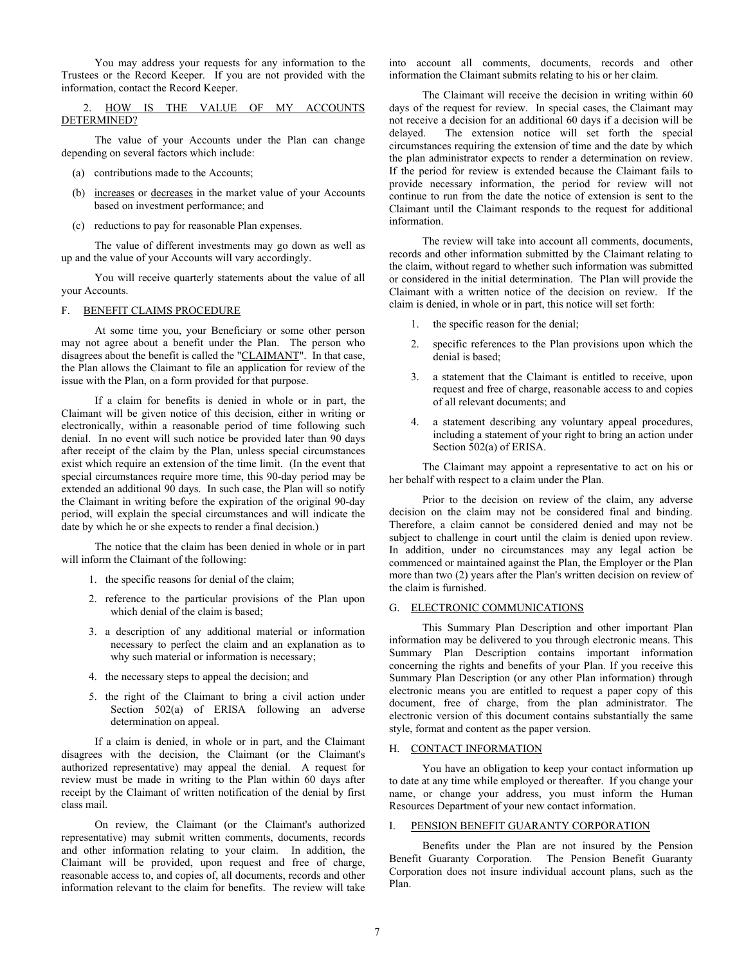You may address your requests for any information to the Trustees or the Record Keeper. If you are not provided with the information, contact the Record Keeper.

2. HOW IS THE VALUE OF MY ACCOUNTS DETERMINED?

The value of your Accounts under the Plan can change depending on several factors which include:

- (a) contributions made to the Accounts;
- (b) increases or decreases in the market value of your Accounts based on investment performance; and
- (c) reductions to pay for reasonable Plan expenses.

The value of different investments may go down as well as up and the value of your Accounts will vary accordingly.

You will receive quarterly statements about the value of all your Accounts.

#### F. BENEFIT CLAIMS PROCEDURE

At some time you, your Beneficiary or some other person may not agree about a benefit under the Plan. The person who disagrees about the benefit is called the "CLAIMANT". In that case, the Plan allows the Claimant to file an application for review of the issue with the Plan, on a form provided for that purpose.

If a claim for benefits is denied in whole or in part, the Claimant will be given notice of this decision, either in writing or electronically, within a reasonable period of time following such denial. In no event will such notice be provided later than 90 days after receipt of the claim by the Plan, unless special circumstances exist which require an extension of the time limit. (In the event that special circumstances require more time, this 90-day period may be extended an additional 90 days. In such case, the Plan will so notify the Claimant in writing before the expiration of the original 90-day period, will explain the special circumstances and will indicate the date by which he or she expects to render a final decision.)

The notice that the claim has been denied in whole or in part will inform the Claimant of the following:

- 1. the specific reasons for denial of the claim;
- 2. reference to the particular provisions of the Plan upon which denial of the claim is based;
- 3. a description of any additional material or information necessary to perfect the claim and an explanation as to why such material or information is necessary;
- 4. the necessary steps to appeal the decision; and
- 5. the right of the Claimant to bring a civil action under Section 502(a) of ERISA following an adverse determination on appeal.

If a claim is denied, in whole or in part, and the Claimant disagrees with the decision, the Claimant (or the Claimant's authorized representative) may appeal the denial. A request for review must be made in writing to the Plan within 60 days after receipt by the Claimant of written notification of the denial by first class mail.

On review, the Claimant (or the Claimant's authorized representative) may submit written comments, documents, records and other information relating to your claim. In addition, the Claimant will be provided, upon request and free of charge, reasonable access to, and copies of, all documents, records and other information relevant to the claim for benefits. The review will take

into account all comments, documents, records and other information the Claimant submits relating to his or her claim.

The Claimant will receive the decision in writing within 60 days of the request for review. In special cases, the Claimant may not receive a decision for an additional 60 days if a decision will be delayed. The extension notice will set forth the special circumstances requiring the extension of time and the date by which the plan administrator expects to render a determination on review. If the period for review is extended because the Claimant fails to provide necessary information, the period for review will not continue to run from the date the notice of extension is sent to the Claimant until the Claimant responds to the request for additional information.

The review will take into account all comments, documents, records and other information submitted by the Claimant relating to the claim, without regard to whether such information was submitted or considered in the initial determination. The Plan will provide the Claimant with a written notice of the decision on review. If the claim is denied, in whole or in part, this notice will set forth:

- 1. the specific reason for the denial;
- 2. specific references to the Plan provisions upon which the denial is based;
- 3. a statement that the Claimant is entitled to receive, upon request and free of charge, reasonable access to and copies of all relevant documents; and
- 4. a statement describing any voluntary appeal procedures, including a statement of your right to bring an action under Section 502(a) of ERISA.

The Claimant may appoint a representative to act on his or her behalf with respect to a claim under the Plan.

Prior to the decision on review of the claim, any adverse decision on the claim may not be considered final and binding. Therefore, a claim cannot be considered denied and may not be subject to challenge in court until the claim is denied upon review. In addition, under no circumstances may any legal action be commenced or maintained against the Plan, the Employer or the Plan more than two (2) years after the Plan's written decision on review of the claim is furnished.

#### G. ELECTRONIC COMMUNICATIONS

This Summary Plan Description and other important Plan information may be delivered to you through electronic means. This Summary Plan Description contains important information concerning the rights and benefits of your Plan. If you receive this Summary Plan Description (or any other Plan information) through electronic means you are entitled to request a paper copy of this document, free of charge, from the plan administrator. The electronic version of this document contains substantially the same style, format and content as the paper version.

#### H. CONTACT INFORMATION

You have an obligation to keep your contact information up to date at any time while employed or thereafter. If you change your name, or change your address, you must inform the Human Resources Department of your new contact information.

#### I. PENSION BENEFIT GUARANTY CORPORATION

Benefits under the Plan are not insured by the Pension Benefit Guaranty Corporation. The Pension Benefit Guaranty Corporation does not insure individual account plans, such as the Plan.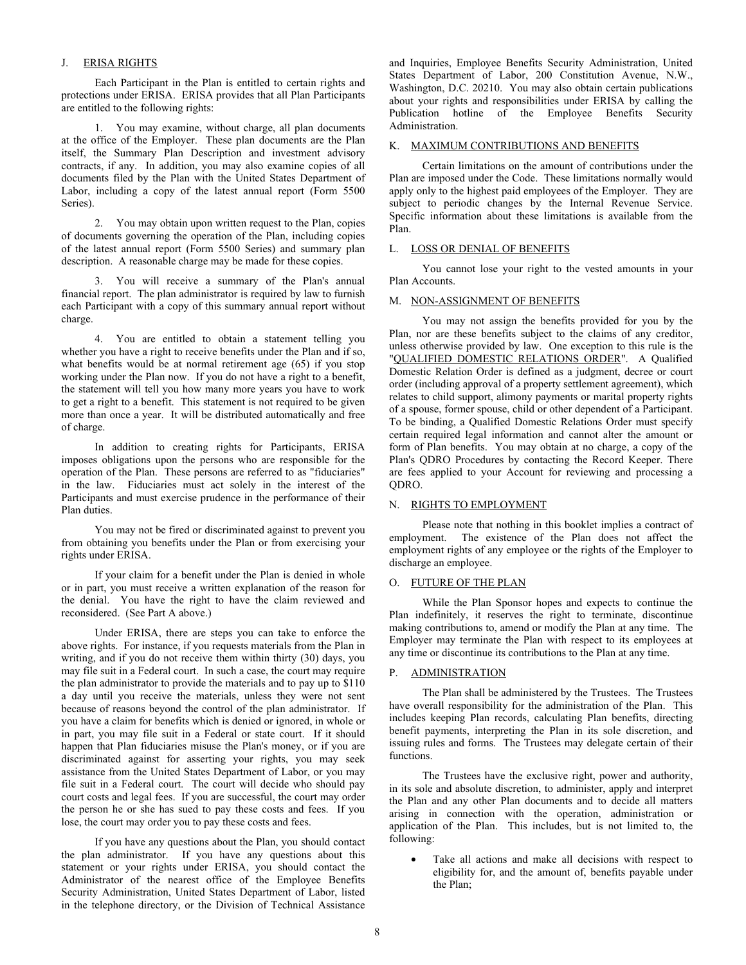# J. ERISA RIGHTS

Each Participant in the Plan is entitled to certain rights and protections under ERISA. ERISA provides that all Plan Participants are entitled to the following rights:

1. You may examine, without charge, all plan documents at the office of the Employer. These plan documents are the Plan itself, the Summary Plan Description and investment advisory contracts, if any. In addition, you may also examine copies of all documents filed by the Plan with the United States Department of Labor, including a copy of the latest annual report (Form 5500 Series).

2. You may obtain upon written request to the Plan, copies of documents governing the operation of the Plan, including copies of the latest annual report (Form 5500 Series) and summary plan description. A reasonable charge may be made for these copies.

3. You will receive a summary of the Plan's annual financial report. The plan administrator is required by law to furnish each Participant with a copy of this summary annual report without charge.

4. You are entitled to obtain a statement telling you whether you have a right to receive benefits under the Plan and if so, what benefits would be at normal retirement age (65) if you stop working under the Plan now. If you do not have a right to a benefit, the statement will tell you how many more years you have to work to get a right to a benefit. This statement is not required to be given more than once a year. It will be distributed automatically and free of charge.

In addition to creating rights for Participants, ERISA imposes obligations upon the persons who are responsible for the operation of the Plan. These persons are referred to as "fiduciaries" in the law. Fiduciaries must act solely in the interest of the Participants and must exercise prudence in the performance of their Plan duties.

You may not be fired or discriminated against to prevent you from obtaining you benefits under the Plan or from exercising your rights under ERISA.

If your claim for a benefit under the Plan is denied in whole or in part, you must receive a written explanation of the reason for the denial. You have the right to have the claim reviewed and reconsidered. (See Part A above.)

Under ERISA, there are steps you can take to enforce the above rights. For instance, if you requests materials from the Plan in writing, and if you do not receive them within thirty (30) days, you may file suit in a Federal court. In such a case, the court may require the plan administrator to provide the materials and to pay up to \$110 a day until you receive the materials, unless they were not sent because of reasons beyond the control of the plan administrator. If you have a claim for benefits which is denied or ignored, in whole or in part, you may file suit in a Federal or state court. If it should happen that Plan fiduciaries misuse the Plan's money, or if you are discriminated against for asserting your rights, you may seek assistance from the United States Department of Labor, or you may file suit in a Federal court. The court will decide who should pay court costs and legal fees. If you are successful, the court may order the person he or she has sued to pay these costs and fees. If you lose, the court may order you to pay these costs and fees.

If you have any questions about the Plan, you should contact the plan administrator. If you have any questions about this statement or your rights under ERISA, you should contact the Administrator of the nearest office of the Employee Benefits Security Administration, United States Department of Labor, listed in the telephone directory, or the Division of Technical Assistance

and Inquiries, Employee Benefits Security Administration, United States Department of Labor, 200 Constitution Avenue, N.W., Washington, D.C. 20210. You may also obtain certain publications about your rights and responsibilities under ERISA by calling the Publication hotline of the Employee Benefits Security Administration.

# K. MAXIMUM CONTRIBUTIONS AND BENEFITS

Certain limitations on the amount of contributions under the Plan are imposed under the Code. These limitations normally would apply only to the highest paid employees of the Employer. They are subject to periodic changes by the Internal Revenue Service. Specific information about these limitations is available from the Plan.

# L. LOSS OR DENIAL OF BENEFITS

You cannot lose your right to the vested amounts in your Plan Accounts.

# M. NON-ASSIGNMENT OF BENEFITS

You may not assign the benefits provided for you by the Plan, nor are these benefits subject to the claims of any creditor, unless otherwise provided by law. One exception to this rule is the "QUALIFIED DOMESTIC RELATIONS ORDER". A Qualified Domestic Relation Order is defined as a judgment, decree or court order (including approval of a property settlement agreement), which relates to child support, alimony payments or marital property rights of a spouse, former spouse, child or other dependent of a Participant. To be binding, a Qualified Domestic Relations Order must specify certain required legal information and cannot alter the amount or form of Plan benefits. You may obtain at no charge, a copy of the Plan's QDRO Procedures by contacting the Record Keeper. There are fees applied to your Account for reviewing and processing a QDRO.

# N. RIGHTS TO EMPLOYMENT

Please note that nothing in this booklet implies a contract of employment. The existence of the Plan does not affect the employment rights of any employee or the rights of the Employer to discharge an employee.

# O. FUTURE OF THE PLAN

While the Plan Sponsor hopes and expects to continue the Plan indefinitely, it reserves the right to terminate, discontinue making contributions to, amend or modify the Plan at any time. The Employer may terminate the Plan with respect to its employees at any time or discontinue its contributions to the Plan at any time.

# P. ADMINISTRATION

The Plan shall be administered by the Trustees. The Trustees have overall responsibility for the administration of the Plan. This includes keeping Plan records, calculating Plan benefits, directing benefit payments, interpreting the Plan in its sole discretion, and issuing rules and forms. The Trustees may delegate certain of their functions.

The Trustees have the exclusive right, power and authority, in its sole and absolute discretion, to administer, apply and interpret the Plan and any other Plan documents and to decide all matters arising in connection with the operation, administration or application of the Plan. This includes, but is not limited to, the following:

Take all actions and make all decisions with respect to eligibility for, and the amount of, benefits payable under the Plan;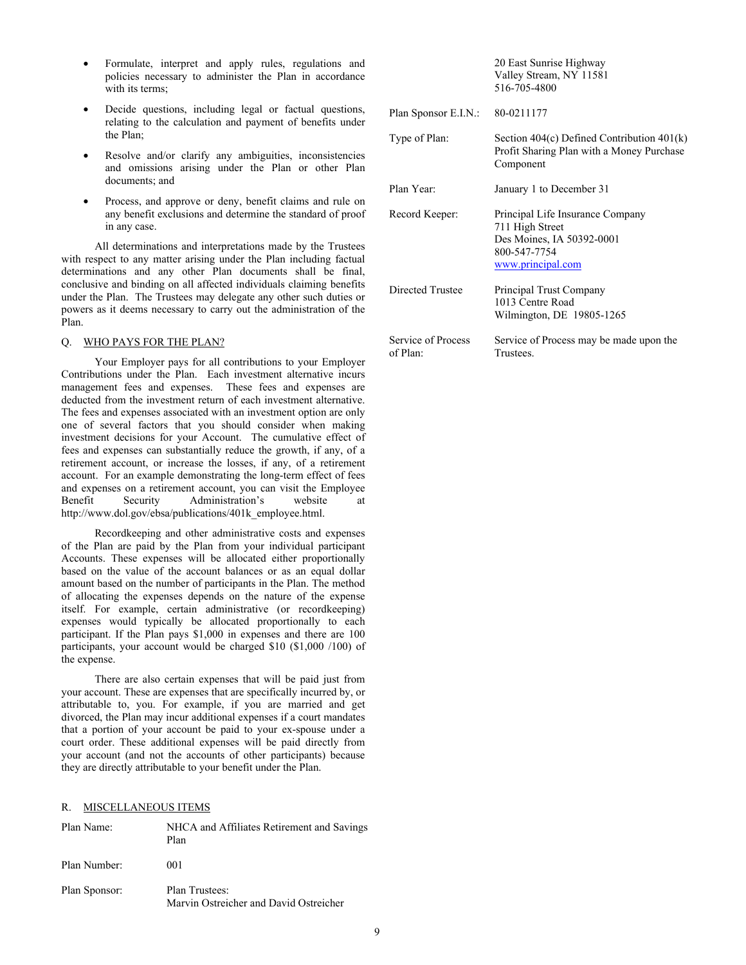- Formulate, interpret and apply rules, regulations and policies necessary to administer the Plan in accordance with its terms;
- Decide questions, including legal or factual questions, relating to the calculation and payment of benefits under the Plan;
- Resolve and/or clarify any ambiguities, inconsistencies and omissions arising under the Plan or other Plan documents; and
- Process, and approve or deny, benefit claims and rule on any benefit exclusions and determine the standard of proof in any case.

All determinations and interpretations made by the Trustees with respect to any matter arising under the Plan including factual determinations and any other Plan documents shall be final, conclusive and binding on all affected individuals claiming benefits under the Plan. The Trustees may delegate any other such duties or powers as it deems necessary to carry out the administration of the Plan.

# Q. WHO PAYS FOR THE PLAN?

Your Employer pays for all contributions to your Employer Contributions under the Plan. Each investment alternative incurs management fees and expenses. These fees and expenses are deducted from the investment return of each investment alternative. The fees and expenses associated with an investment option are only one of several factors that you should consider when making investment decisions for your Account. The cumulative effect of fees and expenses can substantially reduce the growth, if any, of a retirement account, or increase the losses, if any, of a retirement account. For an example demonstrating the long-term effect of fees and expenses on a retirement account, you can visit the Employee Benefit Security Administration's website at http://www.dol.gov/ebsa/publications/401k\_employee.html.

Recordkeeping and other administrative costs and expenses of the Plan are paid by the Plan from your individual participant Accounts. These expenses will be allocated either proportionally based on the value of the account balances or as an equal dollar amount based on the number of participants in the Plan. The method of allocating the expenses depends on the nature of the expense itself. For example, certain administrative (or recordkeeping) expenses would typically be allocated proportionally to each participant. If the Plan pays \$1,000 in expenses and there are 100 participants, your account would be charged \$10 (\$1,000 /100) of the expense.

There are also certain expenses that will be paid just from your account. These are expenses that are specifically incurred by, or attributable to, you. For example, if you are married and get divorced, the Plan may incur additional expenses if a court mandates that a portion of your account be paid to your ex-spouse under a court order. These additional expenses will be paid directly from your account (and not the accounts of other participants) because they are directly attributable to your benefit under the Plan.

# R. MISCELLANEOUS ITEMS

| Plan Name:    | NHCA and Affiliates Retirement and Savings<br>Plan       |
|---------------|----------------------------------------------------------|
| Plan Number:  | 001                                                      |
| Plan Sponsor: | Plan Trustees:<br>Marvin Ostreicher and David Ostreicher |

20 East Sunrise Highway Valley Stream, NY 11581 516-705-4800

| Plan Sponsor E.I.N.:           | 80-0211177                                                                                                            |  |  |
|--------------------------------|-----------------------------------------------------------------------------------------------------------------------|--|--|
| Type of Plan:                  | Section $404(c)$ Defined Contribution $401(k)$<br>Profit Sharing Plan with a Money Purchase<br>Component              |  |  |
| Plan Year:                     | January 1 to December 31                                                                                              |  |  |
| Record Keeper:                 | Principal Life Insurance Company<br>711 High Street<br>Des Moines, IA 50392-0001<br>800-547-7754<br>www.principal.com |  |  |
| Directed Trustee               | Principal Trust Company<br>1013 Centre Road<br>Wilmington, DE 19805-1265                                              |  |  |
| Service of Process<br>of Plan: | Service of Process may be made upon the<br>Trustees.                                                                  |  |  |